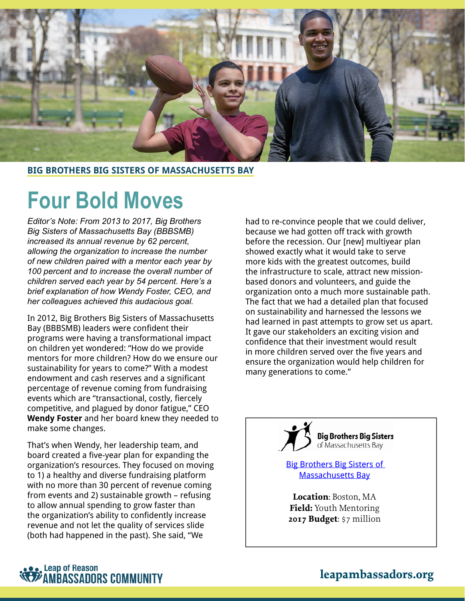

#### **BIG BROTHERS BIG SISTERS OF MASSACHUSETTS BAY**

# **Four Bold Moves**

*Editor's Note: From 2013 to 2017, Big Brothers Big Sisters of Massachusetts Bay (BBBSMB) increased its annual revenue by 62 percent, allowing the organization to increase the number of new children paired with a mentor each year by 100 percent and to increase the overall number of children served each year by 54 percent. Here's a brief explanation of how Wendy Foster, CEO, and her colleagues achieved this audacious goal.*

In 2012, Big Brothers Big Sisters of Massachusetts Bay (BBBSMB) leaders were confident their programs were having a transformational impact on children yet wondered: "How do we provide mentors for more children? How do we ensure our sustainability for years to come?" With a modest endowment and cash reserves and a significant percentage of revenue coming from fundraising events which are "transactional, costly, fiercely competitive, and plagued by donor fatigue," CEO **Wendy Foster** and her board knew they needed to make some changes.

That's when Wendy, her leadership team, and board created a five-year plan for expanding the organization's resources. They focused on moving to 1) a healthy and diverse fundraising platform with no more than 30 percent of revenue coming from events and 2) sustainable growth – refusing to allow annual spending to grow faster than the organization's ability to confidently increase revenue and not let the quality of services slide (both had happened in the past). She said, "We

had to re-convince people that we could deliver, because we had gotten off track with growth before the recession. Our [new] multiyear plan showed exactly what it would take to serve more kids with the greatest outcomes, build the infrastructure to scale, attract new missionbased donors and volunteers, and guide the organization onto a much more sustainable path. The fact that we had a detailed plan that focused on sustainability and harnessed the lessons we had learned in past attempts to grow set us apart. It gave our stakeholders an exciting vision and confidence that their investment would result in more children served over the five years and ensure the organization would help children for many generations to come."



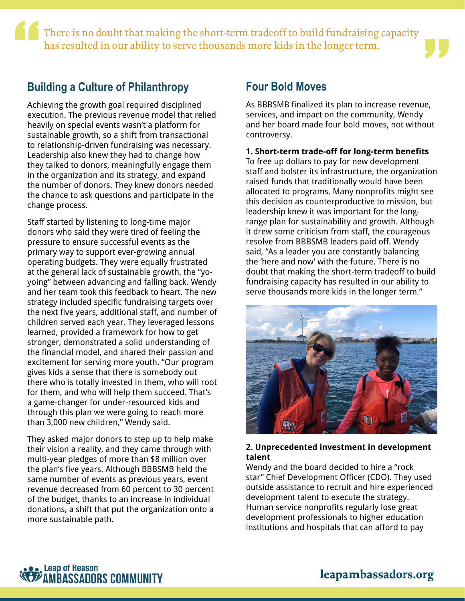1 There is no doubt that making the short-term tradeoff to build fundraising capacity There is no doubt that making the short-term tradeoff to build fundraising capacity<br>has resulted in our ability to serve thousands more kids in the longer term.

### **Building a Culture of Philanthropy**

Achieving the growth goal required disciplined execution. The previous revenue model that relied heavily on special events wasn't a platform for sustainable growth, so a shift from transactional to relationship-driven fundraising was necessary. Leadership also knew they had to change how they talked to donors, meaningfully engage them in the organization and its strategy, and expand the number of donors. They knew donors needed the chance to ask questions and participate in the change process.

Staff started by listening to long-time major donors who said they were tired of feeling the pressure to ensure successful events as the primary way to support ever-growing annual operating budgets. They were equally frustrated at the general lack of sustainable growth, the "yoyoing" between advancing and falling back. Wendy and her team took this feedback to heart. The new strategy included specific fundraising targets over the next five years, additional staff, and number of children served each year. They leveraged lessons learned, provided a framework for how to get stronger, demonstrated a solid understanding of the financial model, and shared their passion and excitement for serving more youth. "Our program gives kids a sense that there is somebody out there who is totally invested in them, who will root for them, and who will help them succeed. That's a game-changer for under-resourced kids and through this plan we were going to reach more than 3,000 new children," Wendy said.

They asked major donors to step up to help make their vision a reality, and they came through with multi-year pledges of more than \$8 million over the plan's five years. Although BBBSMB held the same number of events as previous years, event revenue decreased from 60 percent to 30 percent of the budget, thanks to an increase in individual donations, a shift that put the organization onto a more sustainable path.

### **Four Bold Moves**

As BBBSMB finalized its plan to increase revenue, services, and impact on the community, Wendy and her board made four bold moves, not without controversy.

#### **1. Short-term trade-off for long-term benefits**

To free up dollars to pay for new development staff and bolster its infrastructure, the organization raised funds that traditionally would have been allocated to programs. Many nonprofits might see this decision as counterproductive to mission, but leadership knew it was important for the longrange plan for sustainability and growth. Although it drew some criticism from staff, the courageous resolve from BBBSMB leaders paid off. Wendy said, "As a leader you are constantly balancing the 'here and now' with the future. There is no doubt that making the short-term tradeoff to build fundraising capacity has resulted in our ability to serve thousands more kids in the longer term."



### **2. Unprecedented investment in development talent**

Wendy and the board decided to hire a "rock star" Chief Development Officer (CDO). They used outside assistance to recruit and hire experienced development talent to execute the strategy. Human service nonprofits regularly lose great development professionals to higher education institutions and hospitals that can afford to pay

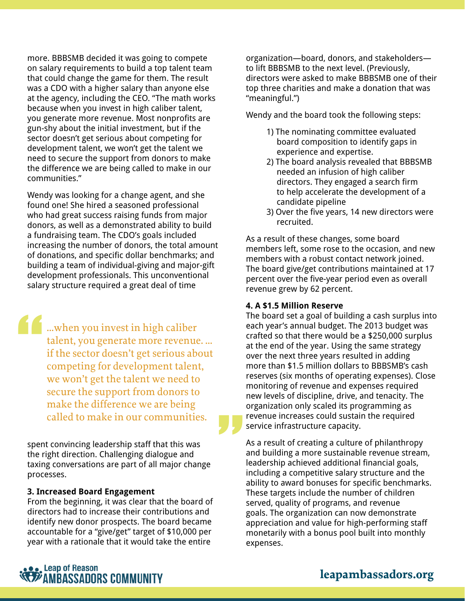more. BBBSMB decided it was going to compete on salary requirements to build a top talent team that could change the game for them. The result was a CDO with a higher salary than anyone else at the agency, including the CEO. "The math works because when you invest in high caliber talent, you generate more revenue. Most nonprofits are gun-shy about the initial investment, but if the sector doesn't get serious about competing for development talent, we won't get the talent we need to secure the support from donors to make the difference we are being called to make in our communities."

Wendy was looking for a change agent, and she found one! She hired a seasoned professional who had great success raising funds from major donors, as well as a demonstrated ability to build a fundraising team. The CDO's goals included increasing the number of donors, the total amount of donations, and specific dollar benchmarks; and building a team of individual-giving and major-gift development professionals. This unconventional salary structure required a great deal of time

…when you invest in high caliber talent, you generate more revenue. … if the sector doesn't get serious about competing for development talent, we won't get the talent we need to secure the support from donors to make the difference we are being we won't get the talent we need to<br>secure the support from donors to<br>make the difference we are being<br>called to make in our communities.

spent convincing leadership staff that this was the right direction. Challenging dialogue and taxing conversations are part of all major change processes.

#### **3. Increased Board Engagement**

"<br>"<br>"

From the beginning, it was clear that the board of directors had to increase their contributions and identify new donor prospects. The board became accountable for a "give/get" target of \$10,000 per year with a rationale that it would take the entire

organization—board, donors, and stakeholders to lift BBBSMB to the next level. (Previously, directors were asked to make BBBSMB one of their top three charities and make a donation that was "meaningful.")

Wendy and the board took the following steps:

- 1) The nominating committee evaluated board composition to identify gaps in experience and expertise.
- 2) The board analysis revealed that BBBSMB needed an infusion of high caliber directors. They engaged a search firm to help accelerate the development of a candidate pipeline
- 3) Over the five years, 14 new directors were recruited.

As a result of these changes, some board members left, some rose to the occasion, and new members with a robust contact network joined. The board give/get contributions maintained at 17 percent over the five-year period even as overall revenue grew by 62 percent.

#### **4. A \$1.5 Million Reserve**

The board set a goal of building a cash surplus into each year's annual budget. The 2013 budget was crafted so that there would be a \$250,000 surplus at the end of the year. Using the same strategy over the next three years resulted in adding more than \$1.5 million dollars to BBBSMB's cash reserves (six months of operating expenses). Close monitoring of revenue and expenses required new levels of discipline, drive, and tenacity. The organization only scaled its programming as revenue increases could sustain the required service infrastructure capacity.

As a result of creating a culture of philanthropy and building a more sustainable revenue stream, leadership achieved additional financial goals, including a competitive salary structure and the ability to award bonuses for specific benchmarks. These targets include the number of children served, quality of programs, and revenue goals. The organization can now demonstrate appreciation and value for high-performing staff monetarily with a bonus pool built into monthly expenses.